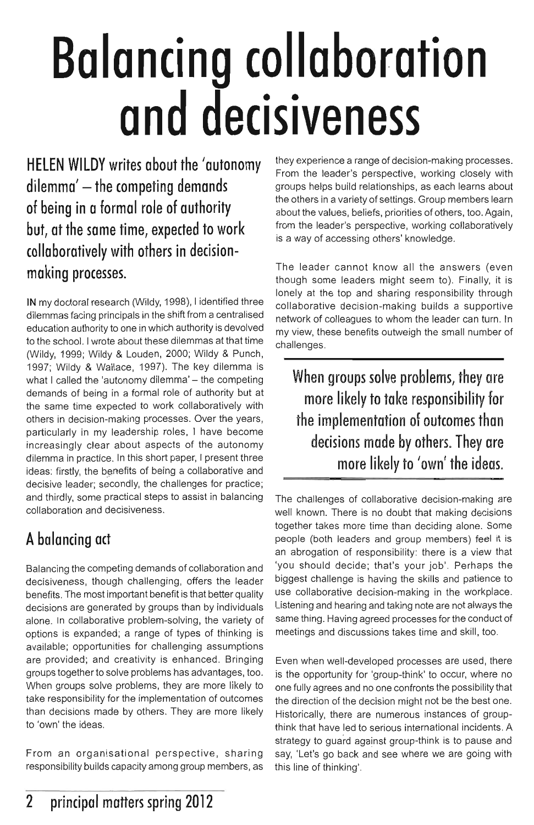# **Balancing collaboration and decisiveness**

**HELEN WILDY writes about the 'autonomy dilemma' - the competing demands of being in a formal role of authority but, at the same time, expected to work collaborotively with others in decisionmaking processes.** 

**IN** my doctoral research (Wildy, 1998), I identified three dilemmas facing principals in the shift from a centralised education authority to one in which authority is devolved to the school. I wrote about these dilemmas at that time (Wildy, 1999; Wildy & Louden, 2000; Wildy & Punch, 1997; Wildy & Wallace, 1997). The key dilemma is what I called the 'autonomy dilemma' - the competing demands of being in a formal role of authority but at the same time expected to work collaboratively with others in decision-making processes. Over the years, particularly in my leadership roles, I have become increasingly clear about aspects of the autonomy dilemma in practice. **In** this short paper, I present three ideas: firstly, the benefits of being a collaborative and decisive leader; secondly, the challenges for practice; and thirdly, some practical steps to assist in balancing collaboration and decisiveness.

## **A balancing act**

Balancing the competing demands of collaboration and decisiveness, though challenging, offers the leader benefits. The most important benefit is that better quality decisions are generated by groups than by individuals alone. In collaborative problem-solving, the variety of options is expanded; a range of types of thinking is available; opportunities for challenging assumptions are provided; and creativity is enhanced. Bringing groups together to solve problems has advantages, too. When groups solve problems, they are more likely to take responsibility for the implementation of outcomes than decisions made by others. They are more likely to 'own' the ideas.

From an organisational perspective, sharing responsibility builds capacity among group members, as they experience a range of decision-making processes. From the leader's perspective, working closely with groups helps build relationships, as each learns about the others in a variety of settings. Group members learn about the values, beliefs, priorities of others, too. Again, from the leader's perspective, working collaboratively is a way of accessing others' knowledge.

The leader cannot know all the answers (even though some leaders might seem to). Finally, it is lonely at the top and sharing responsibility through collaborative decision-making builds a supportive network of colleagues to whom the leader can turn. In my view, these benefits outweigh the small number of challenges.

**When groups solve problems,** *they* **are more likely to take responsibility for the implementation of outcomes than decisions made** *by* **others. They are more likely to 'own' the ideas.** 

The challenges of collaborative decision-making are well known. There is no doubt that making decisions together takes more time than deciding alone. Some people (both leaders and group members) feel it is an abrogation of responsibility: there is a view that 'you should decide; that's your job'. Perhaps the biggest challenge is having the skills and patience to use collaborative decision-making in the workplace. Listening and hearing and taking note are not always the same thing. Having agreed processes for the conduct of meetings and discussions takes time and skill, too.

Even when well-developed processes are used, there is the opportunity for 'group-think' to occur, where no one fully agrees and no one confronts the possibility that the direction of the decision might not be the best one. Historically, there are numerous instances of groupthink that have led to serious international incidents. A strategy to guard against group-think is to pause and say, 'Let's go back and see where we are going with this line of thinking'.